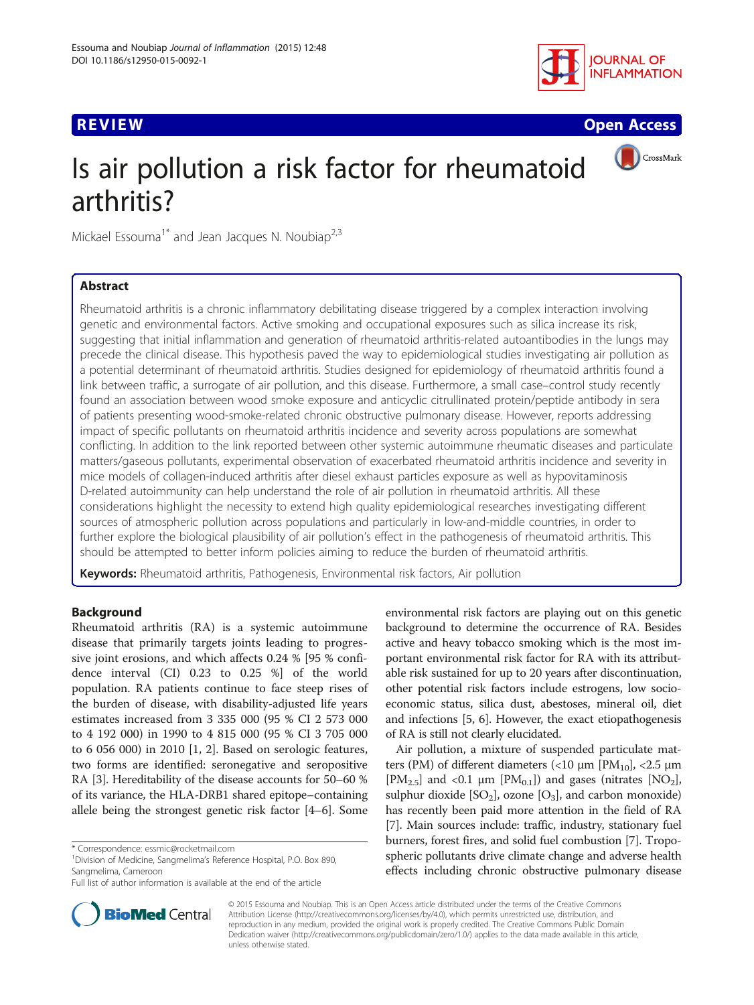

**REVIEW CONSTRUCTION CONSTRUCTION CONSTRUCTS** 



# Is air pollution a risk factor for rheumatoid arthritis?

Mickael Essouma<sup>1\*</sup> and Jean Jacques N. Noubiap<sup>2,3</sup>

## Abstract

Rheumatoid arthritis is a chronic inflammatory debilitating disease triggered by a complex interaction involving genetic and environmental factors. Active smoking and occupational exposures such as silica increase its risk, suggesting that initial inflammation and generation of rheumatoid arthritis-related autoantibodies in the lungs may precede the clinical disease. This hypothesis paved the way to epidemiological studies investigating air pollution as a potential determinant of rheumatoid arthritis. Studies designed for epidemiology of rheumatoid arthritis found a link between traffic, a surrogate of air pollution, and this disease. Furthermore, a small case–control study recently found an association between wood smoke exposure and anticyclic citrullinated protein/peptide antibody in sera of patients presenting wood-smoke-related chronic obstructive pulmonary disease. However, reports addressing impact of specific pollutants on rheumatoid arthritis incidence and severity across populations are somewhat conflicting. In addition to the link reported between other systemic autoimmune rheumatic diseases and particulate matters/gaseous pollutants, experimental observation of exacerbated rheumatoid arthritis incidence and severity in mice models of collagen-induced arthritis after diesel exhaust particles exposure as well as hypovitaminosis D-related autoimmunity can help understand the role of air pollution in rheumatoid arthritis. All these considerations highlight the necessity to extend high quality epidemiological researches investigating different sources of atmospheric pollution across populations and particularly in low-and-middle countries, in order to further explore the biological plausibility of air pollution's effect in the pathogenesis of rheumatoid arthritis. This should be attempted to better inform policies aiming to reduce the burden of rheumatoid arthritis.

Keywords: Rheumatoid arthritis, Pathogenesis, Environmental risk factors, Air pollution

## Background

Rheumatoid arthritis (RA) is a systemic autoimmune disease that primarily targets joints leading to progressive joint erosions, and which affects 0.24 % [95 % confidence interval (CI) 0.23 to 0.25 %] of the world population. RA patients continue to face steep rises of the burden of disease, with disability-adjusted life years estimates increased from 3 335 000 (95 % CI 2 573 000 to 4 192 000) in 1990 to 4 815 000 (95 % CI 3 705 000 to 6 056 000) in 2010 [\[1](#page-5-0), [2](#page-5-0)]. Based on serologic features, two forms are identified: seronegative and seropositive RA [[3\]](#page-5-0). Hereditability of the disease accounts for 50–60 % of its variance, the HLA-DRB1 shared epitope–containing allele being the strongest genetic risk factor [[4](#page-5-0)–[6](#page-5-0)]. Some

<sup>1</sup> Division of Medicine, Sangmelima's Reference Hospital, P.O. Box 890, Sangmelima, Cameroon



Air pollution, a mixture of suspended particulate matters (PM) of different diameters (<10 μm [PM<sub>10</sub>], <2.5 μm [PM<sub>2.5</sub>] and <0.1  $\mu$ m [PM<sub>0.1</sub>]) and gases (nitrates [NO<sub>2</sub>], sulphur dioxide  $[SO_2]$ , ozone  $[O_3]$ , and carbon monoxide) has recently been paid more attention in the field of RA [[7\]](#page-5-0). Main sources include: traffic, industry, stationary fuel burners, forest fires, and solid fuel combustion [\[7\]](#page-5-0). Tropospheric pollutants drive climate change and adverse health effects including chronic obstructive pulmonary disease



© 2015 Essouma and Noubiap. This is an Open Access article distributed under the terms of the Creative Commons Attribution License (<http://creativecommons.org/licenses/by/4.0>), which permits unrestricted use, distribution, and reproduction in any medium, provided the original work is properly credited. The Creative Commons Public Domain Dedication waiver [\(http://creativecommons.org/publicdomain/zero/1.0/](http://creativecommons.org/publicdomain/zero/1.0/)) applies to the data made available in this article, unless otherwise stated.

<sup>\*</sup> Correspondence: [essmic@rocketmail.com](mailto:essmic@rocketmail.com) <sup>1</sup>

Full list of author information is available at the end of the article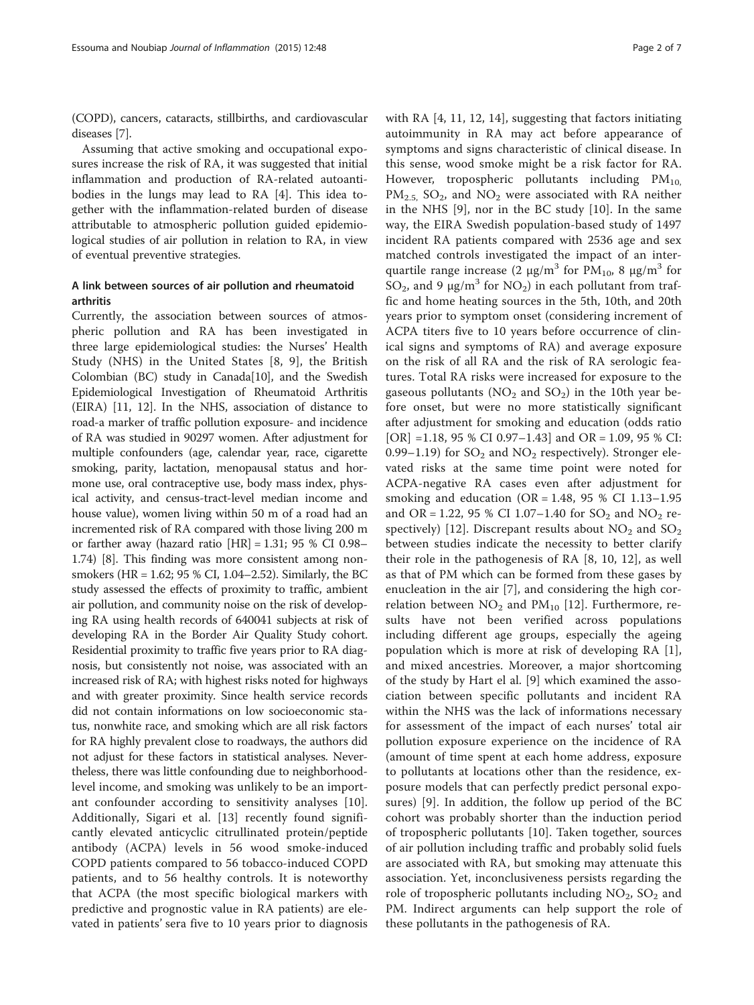(COPD), cancers, cataracts, stillbirths, and cardiovascular diseases [\[7](#page-5-0)].

Assuming that active smoking and occupational exposures increase the risk of RA, it was suggested that initial inflammation and production of RA-related autoantibodies in the lungs may lead to RA [\[4](#page-5-0)]. This idea together with the inflammation-related burden of disease attributable to atmospheric pollution guided epidemiological studies of air pollution in relation to RA, in view of eventual preventive strategies.

## A link between sources of air pollution and rheumatoid arthritis

Currently, the association between sources of atmospheric pollution and RA has been investigated in three large epidemiological studies: the Nurses' Health Study (NHS) in the United States [\[8](#page-5-0), [9\]](#page-5-0), the British Colombian (BC) study in Canada[\[10\]](#page-5-0), and the Swedish Epidemiological Investigation of Rheumatoid Arthritis (EIRA) [\[11, 12](#page-5-0)]. In the NHS, association of distance to road-a marker of traffic pollution exposure- and incidence of RA was studied in 90297 women. After adjustment for multiple confounders (age, calendar year, race, cigarette smoking, parity, lactation, menopausal status and hormone use, oral contraceptive use, body mass index, physical activity, and census-tract-level median income and house value), women living within 50 m of a road had an incremented risk of RA compared with those living 200 m or farther away (hazard ratio  $|HR| = 1.31$ ; 95 % CI 0.98– 1.74) [\[8](#page-5-0)]. This finding was more consistent among nonsmokers (HR = 1.62; 95 % CI, 1.04–2.52). Similarly, the BC study assessed the effects of proximity to traffic, ambient air pollution, and community noise on the risk of developing RA using health records of 640041 subjects at risk of developing RA in the Border Air Quality Study cohort. Residential proximity to traffic five years prior to RA diagnosis, but consistently not noise, was associated with an increased risk of RA; with highest risks noted for highways and with greater proximity. Since health service records did not contain informations on low socioeconomic status, nonwhite race, and smoking which are all risk factors for RA highly prevalent close to roadways, the authors did not adjust for these factors in statistical analyses. Nevertheless, there was little confounding due to neighborhoodlevel income, and smoking was unlikely to be an important confounder according to sensitivity analyses [\[10](#page-5-0)]. Additionally, Sigari et al. [\[13](#page-5-0)] recently found significantly elevated anticyclic citrullinated protein/peptide antibody (ACPA) levels in 56 wood smoke-induced COPD patients compared to 56 tobacco-induced COPD patients, and to 56 healthy controls. It is noteworthy that ACPA (the most specific biological markers with predictive and prognostic value in RA patients) are elevated in patients' sera five to 10 years prior to diagnosis with RA [[4, 11, 12, 14](#page-5-0)], suggesting that factors initiating autoimmunity in RA may act before appearance of symptoms and signs characteristic of clinical disease. In this sense, wood smoke might be a risk factor for RA. However, tropospheric pollutants including  $PM_{10}$  $PM_{2.5}$ ,  $SO_2$ , and  $NO_2$  were associated with RA neither in the NHS [[9](#page-5-0)], nor in the BC study [[10\]](#page-5-0). In the same way, the EIRA Swedish population-based study of 1497 incident RA patients compared with 2536 age and sex matched controls investigated the impact of an interquartile range increase (2 μg/m<sup>3</sup> for PM<sub>10</sub>, 8 μg/m<sup>3</sup> for SO<sub>2</sub>, and 9  $\mu$ g/m<sup>3</sup> for NO<sub>2</sub>) in each pollutant from traffic and home heating sources in the 5th, 10th, and 20th years prior to symptom onset (considering increment of ACPA titers five to 10 years before occurrence of clinical signs and symptoms of RA) and average exposure on the risk of all RA and the risk of RA serologic features. Total RA risks were increased for exposure to the gaseous pollutants ( $NO<sub>2</sub>$  and  $SO<sub>2</sub>$ ) in the 10th year before onset, but were no more statistically significant after adjustment for smoking and education (odds ratio  $[OR] = 1.18, 95 % CI 0.97–1.43]$  and  $OR = 1.09, 95 % CI:$ 0.99–1.19) for  $SO_2$  and  $NO_2$  respectively). Stronger elevated risks at the same time point were noted for ACPA-negative RA cases even after adjustment for smoking and education (OR = 1.48, 95 % CI 1.13-1.95 and OR = 1.22, 95 % CI 1.07-1.40 for  $SO_2$  and  $NO_2$  re-spectively) [[12](#page-5-0)]. Discrepant results about  $NO<sub>2</sub>$  and  $SO<sub>2</sub>$ between studies indicate the necessity to better clarify their role in the pathogenesis of RA [\[8](#page-5-0), [10](#page-5-0), [12](#page-5-0)], as well as that of PM which can be formed from these gases by enucleation in the air [[7\]](#page-5-0), and considering the high correlation between  $NO<sub>2</sub>$  and  $PM<sub>10</sub>$  [[12\]](#page-5-0). Furthermore, results have not been verified across populations including different age groups, especially the ageing population which is more at risk of developing RA [\[1](#page-5-0)], and mixed ancestries. Moreover, a major shortcoming of the study by Hart el al. [[9\]](#page-5-0) which examined the association between specific pollutants and incident RA within the NHS was the lack of informations necessary for assessment of the impact of each nurses' total air pollution exposure experience on the incidence of RA (amount of time spent at each home address, exposure to pollutants at locations other than the residence, exposure models that can perfectly predict personal exposures) [[9\]](#page-5-0). In addition, the follow up period of the BC cohort was probably shorter than the induction period of tropospheric pollutants [[10\]](#page-5-0). Taken together, sources of air pollution including traffic and probably solid fuels are associated with RA, but smoking may attenuate this association. Yet, inconclusiveness persists regarding the role of tropospheric pollutants including  $NO<sub>2</sub>$ ,  $SO<sub>2</sub>$  and PM. Indirect arguments can help support the role of these pollutants in the pathogenesis of RA.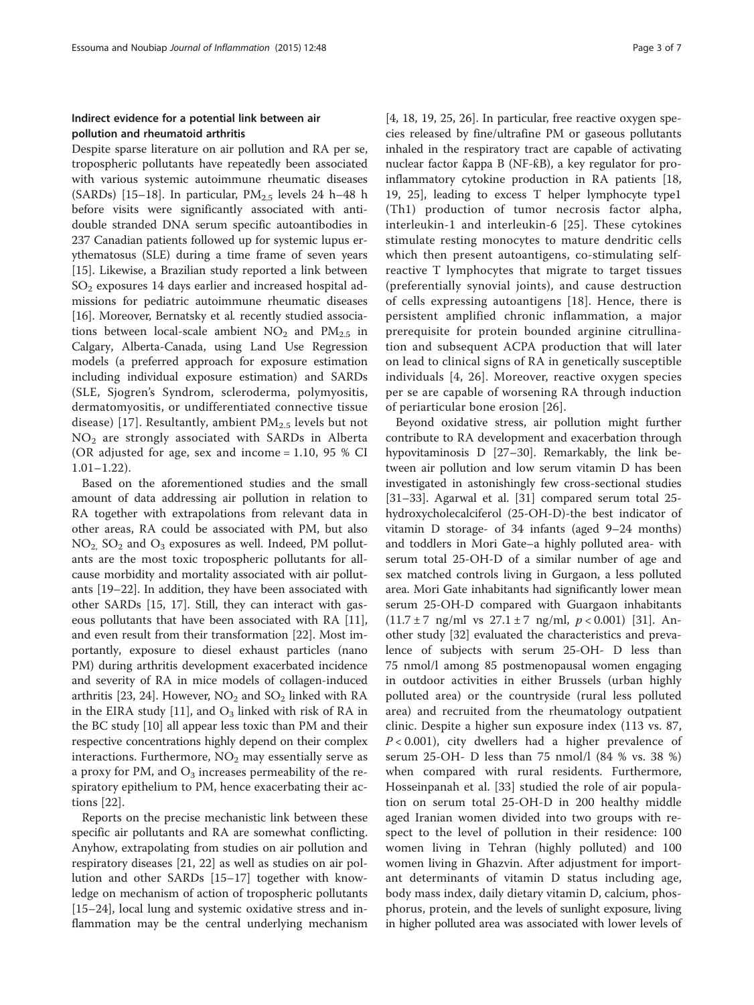## Indirect evidence for a potential link between air pollution and rheumatoid arthritis

Despite sparse literature on air pollution and RA per se, tropospheric pollutants have repeatedly been associated with various systemic autoimmune rheumatic diseases (SARDs) [\[15](#page-5-0)–[18\]](#page-5-0). In particular,  $PM<sub>2.5</sub>$  levels 24 h–48 h before visits were significantly associated with antidouble stranded DNA serum specific autoantibodies in 237 Canadian patients followed up for systemic lupus erythematosus (SLE) during a time frame of seven years [[15\]](#page-5-0). Likewise, a Brazilian study reported a link between  $SO<sub>2</sub>$  exposures 14 days earlier and increased hospital admissions for pediatric autoimmune rheumatic diseases [[16\]](#page-5-0). Moreover, Bernatsky et al. recently studied associations between local-scale ambient  $NO<sub>2</sub>$  and  $PM<sub>2.5</sub>$  in Calgary, Alberta-Canada, using Land Use Regression models (a preferred approach for exposure estimation including individual exposure estimation) and SARDs (SLE, Sjogren's Syndrom, scleroderma, polymyositis, dermatomyositis, or undifferentiated connective tissue disease) [\[17\]](#page-5-0). Resultantly, ambient  $PM_{2.5}$  levels but not  $NO<sub>2</sub>$  are strongly associated with SARDs in Alberta (OR adjusted for age, sex and income = 1.10, 95 % CI 1.01–1.22).

Based on the aforementioned studies and the small amount of data addressing air pollution in relation to RA together with extrapolations from relevant data in other areas, RA could be associated with PM, but also  $NO<sub>2</sub>$ ,  $SO<sub>2</sub>$  and  $O<sub>3</sub>$  exposures as well. Indeed, PM pollutants are the most toxic tropospheric pollutants for allcause morbidity and mortality associated with air pollutants [[19](#page-5-0)–[22](#page-5-0)]. In addition, they have been associated with other SARDs [[15, 17\]](#page-5-0). Still, they can interact with gaseous pollutants that have been associated with RA [\[11](#page-5-0)], and even result from their transformation [\[22\]](#page-5-0). Most importantly, exposure to diesel exhaust particles (nano PM) during arthritis development exacerbated incidence and severity of RA in mice models of collagen-induced arthritis [\[23, 24\]](#page-5-0). However,  $NO<sub>2</sub>$  and  $SO<sub>2</sub>$  linked with RA in the EIRA study [\[11](#page-5-0)], and  $O_3$  linked with risk of RA in the BC study [[10\]](#page-5-0) all appear less toxic than PM and their respective concentrations highly depend on their complex interactions. Furthermore,  $NO<sub>2</sub>$  may essentially serve as a proxy for PM, and  $O_3$  increases permeability of the respiratory epithelium to PM, hence exacerbating their actions [[22](#page-5-0)].

Reports on the precise mechanistic link between these specific air pollutants and RA are somewhat conflicting. Anyhow, extrapolating from studies on air pollution and respiratory diseases [\[21](#page-5-0), [22](#page-5-0)] as well as studies on air pollution and other SARDs [\[15](#page-5-0)–[17\]](#page-5-0) together with knowledge on mechanism of action of tropospheric pollutants [[15](#page-5-0)–[24](#page-5-0)], local lung and systemic oxidative stress and inflammation may be the central underlying mechanism

[[4, 18, 19, 25, 26\]](#page-5-0). In particular, free reactive oxygen species released by fine/ultrafine PM or gaseous pollutants inhaled in the respiratory tract are capable of activating nuclear factor ƙappa B (NF-ƙB), a key regulator for proinflammatory cytokine production in RA patients [[18](#page-5-0), [19, 25\]](#page-5-0), leading to excess T helper lymphocyte type1 (Th1) production of tumor necrosis factor alpha, interleukin-1 and interleukin-6 [\[25\]](#page-5-0). These cytokines stimulate resting monocytes to mature dendritic cells which then present autoantigens, co-stimulating selfreactive T lymphocytes that migrate to target tissues (preferentially synovial joints), and cause destruction of cells expressing autoantigens [[18\]](#page-5-0). Hence, there is persistent amplified chronic inflammation, a major prerequisite for protein bounded arginine citrullination and subsequent ACPA production that will later on lead to clinical signs of RA in genetically susceptible individuals [\[4, 26](#page-5-0)]. Moreover, reactive oxygen species per se are capable of worsening RA through induction of periarticular bone erosion [[26\]](#page-5-0).

Beyond oxidative stress, air pollution might further contribute to RA development and exacerbation through hypovitaminosis D [[27](#page-5-0)–[30](#page-5-0)]. Remarkably, the link between air pollution and low serum vitamin D has been investigated in astonishingly few cross-sectional studies [[31](#page-5-0)–[33](#page-5-0)]. Agarwal et al. [[31\]](#page-5-0) compared serum total 25 hydroxycholecalciferol (25-OH-D)-the best indicator of vitamin D storage- of 34 infants (aged 9–24 months) and toddlers in Mori Gate–a highly polluted area- with serum total 25-OH-D of a similar number of age and sex matched controls living in Gurgaon, a less polluted area. Mori Gate inhabitants had significantly lower mean serum 25-OH-D compared with Guargaon inhabitants  $(11.7 \pm 7 \text{ ng/ml vs } 27.1 \pm 7 \text{ ng/ml}, p < 0.001)$  [\[31](#page-5-0)]. Another study [\[32](#page-5-0)] evaluated the characteristics and prevalence of subjects with serum 25-OH- D less than 75 nmol/l among 85 postmenopausal women engaging in outdoor activities in either Brussels (urban highly polluted area) or the countryside (rural less polluted area) and recruited from the rheumatology outpatient clinic. Despite a higher sun exposure index (113 vs. 87,  $P < 0.001$ ), city dwellers had a higher prevalence of serum 25-OH- D less than 75 nmol/l (84 % vs. 38 %) when compared with rural residents. Furthermore, Hosseinpanah et al. [[33\]](#page-5-0) studied the role of air population on serum total 25-OH-D in 200 healthy middle aged Iranian women divided into two groups with respect to the level of pollution in their residence: 100 women living in Tehran (highly polluted) and 100 women living in Ghazvin. After adjustment for important determinants of vitamin D status including age, body mass index, daily dietary vitamin D, calcium, phosphorus, protein, and the levels of sunlight exposure, living in higher polluted area was associated with lower levels of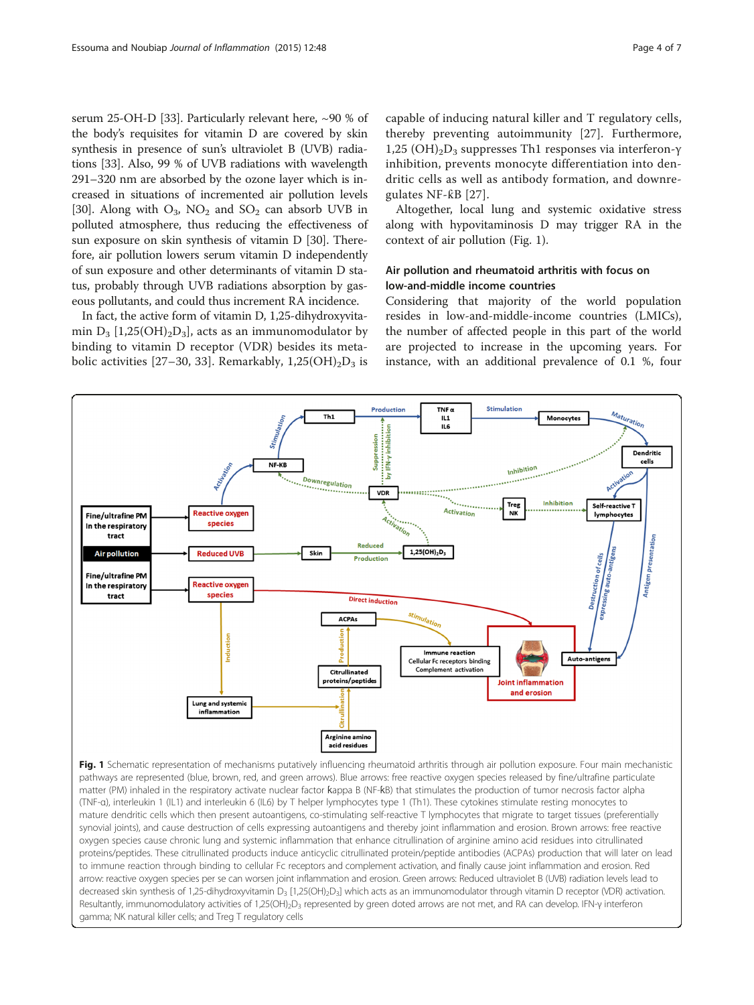serum 25-OH-D [[33](#page-5-0)]. Particularly relevant here, ~90 % of the body's requisites for vitamin D are covered by skin synthesis in presence of sun's ultraviolet B (UVB) radiations [[33](#page-5-0)]. Also, 99 % of UVB radiations with wavelength 291–320 nm are absorbed by the ozone layer which is increased in situations of incremented air pollution levels [[30](#page-5-0)]. Along with  $O_3$ , NO<sub>2</sub> and SO<sub>2</sub> can absorb UVB in polluted atmosphere, thus reducing the effectiveness of sun exposure on skin synthesis of vitamin D [\[30\]](#page-5-0). Therefore, air pollution lowers serum vitamin D independently of sun exposure and other determinants of vitamin D status, probably through UVB radiations absorption by gaseous pollutants, and could thus increment RA incidence.

In fact, the active form of vitamin D, 1,25-dihydroxyvitamin  $D_3$  [1,25(OH)<sub>2</sub>D<sub>3</sub>], acts as an immunomodulator by binding to vitamin D receptor (VDR) besides its meta-bolic activities [[27](#page-5-0)–[30, 33](#page-5-0)]. Remarkably,  $1,25(OH)_{2}D_{3}$  is capable of inducing natural killer and T regulatory cells, thereby preventing autoimmunity [[27\]](#page-5-0). Furthermore, 1,25  $(OH)<sub>2</sub>D<sub>3</sub>$  suppresses Th1 responses via interferon-γ inhibition, prevents monocyte differentiation into dendritic cells as well as antibody formation, and downregulates NF-ƙB [[27](#page-5-0)].

Altogether, local lung and systemic oxidative stress along with hypovitaminosis D may trigger RA in the context of air pollution (Fig. 1).

## Air pollution and rheumatoid arthritis with focus on low-and-middle income countries

Considering that majority of the world population resides in low-and-middle-income countries (LMICs), the number of affected people in this part of the world are projected to increase in the upcoming years. For instance, with an additional prevalence of 0.1 %, four



pathways are represented (blue, brown, red, and green arrows). Blue arrows: free reactive oxygen species released by fine/ultrafine particulate matter (PM) inhaled in the respiratory activate nuclear factor ƙappa B (NF-ƙB) that stimulates the production of tumor necrosis factor alpha (TNF-α), interleukin 1 (IL1) and interleukin 6 (IL6) by T helper lymphocytes type 1 (Th1). These cytokines stimulate resting monocytes to mature dendritic cells which then present autoantigens, co-stimulating self-reactive T lymphocytes that migrate to target tissues (preferentially synovial joints), and cause destruction of cells expressing autoantigens and thereby joint inflammation and erosion. Brown arrows: free reactive oxygen species cause chronic lung and systemic inflammation that enhance citrullination of arginine amino acid residues into citrullinated proteins/peptides. These citrullinated products induce anticyclic citrullinated protein/peptide antibodies (ACPAs) production that will later on lead to immune reaction through binding to cellular Fc receptors and complement activation, and finally cause joint inflammation and erosion. Red arrow: reactive oxygen species per se can worsen joint inflammation and erosion. Green arrows: Reduced ultraviolet B (UVB) radiation levels lead to decreased skin synthesis of 1,25-dihydroxyvitamin D<sub>3</sub> [1,25(OH)<sub>2</sub>D<sub>3</sub>] which acts as an immunomodulator through vitamin D receptor (VDR) activation. Resultantly, immunomodulatory activities of 1,25(OH)<sub>2</sub>D<sub>3</sub> represented by green doted arrows are not met, and RA can develop. IFN-γ interferon gamma; NK natural killer cells; and Treg T regulatory cells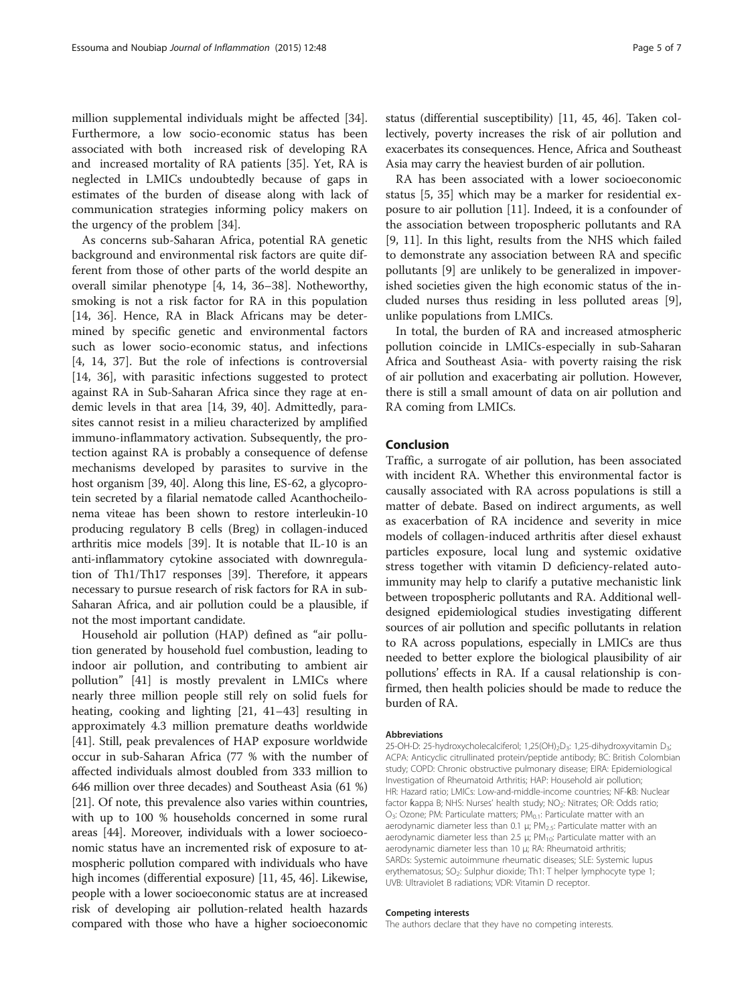million supplemental individuals might be affected [\[34](#page-5-0)]. Furthermore, a low socio-economic status has been associated with both increased risk of developing RA and increased mortality of RA patients [\[35\]](#page-5-0). Yet, RA is neglected in LMICs undoubtedly because of gaps in estimates of the burden of disease along with lack of communication strategies informing policy makers on the urgency of the problem [[34\]](#page-5-0).

As concerns sub-Saharan Africa, potential RA genetic background and environmental risk factors are quite different from those of other parts of the world despite an overall similar phenotype [[4, 14](#page-5-0), [36](#page-5-0)–[38\]](#page-5-0). Notheworthy, smoking is not a risk factor for RA in this population [[14, 36\]](#page-5-0). Hence, RA in Black Africans may be determined by specific genetic and environmental factors such as lower socio-economic status, and infections [[4, 14, 37](#page-5-0)]. But the role of infections is controversial [[14, 36\]](#page-5-0), with parasitic infections suggested to protect against RA in Sub-Saharan Africa since they rage at endemic levels in that area [[14, 39,](#page-5-0) [40](#page-6-0)]. Admittedly, parasites cannot resist in a milieu characterized by amplified immuno-inflammatory activation. Subsequently, the protection against RA is probably a consequence of defense mechanisms developed by parasites to survive in the host organism [[39](#page-5-0), [40](#page-6-0)]. Along this line, ES-62, a glycoprotein secreted by a filarial nematode called Acanthocheilonema viteae has been shown to restore interleukin-10 producing regulatory B cells (Breg) in collagen-induced arthritis mice models [[39](#page-5-0)]. It is notable that IL-10 is an anti-inflammatory cytokine associated with downregulation of Th1/Th17 responses [\[39\]](#page-5-0). Therefore, it appears necessary to pursue research of risk factors for RA in sub-Saharan Africa, and air pollution could be a plausible, if not the most important candidate.

Household air pollution (HAP) defined as "air pollution generated by household fuel combustion, leading to indoor air pollution, and contributing to ambient air pollution" [[41\]](#page-6-0) is mostly prevalent in LMICs where nearly three million people still rely on solid fuels for heating, cooking and lighting [[21,](#page-5-0) [41](#page-6-0)–[43\]](#page-6-0) resulting in approximately 4.3 million premature deaths worldwide [[41\]](#page-6-0). Still, peak prevalences of HAP exposure worldwide occur in sub-Saharan Africa (77 % with the number of affected individuals almost doubled from 333 million to 646 million over three decades) and Southeast Asia (61 %) [[21](#page-5-0)]. Of note, this prevalence also varies within countries, with up to 100 % households concerned in some rural areas [\[44](#page-6-0)]. Moreover, individuals with a lower socioeconomic status have an incremented risk of exposure to atmospheric pollution compared with individuals who have high incomes (differential exposure) [\[11,](#page-5-0) [45](#page-6-0), [46](#page-6-0)]. Likewise, people with a lower socioeconomic status are at increased risk of developing air pollution-related health hazards compared with those who have a higher socioeconomic

status (differential susceptibility) [\[11,](#page-5-0) [45, 46](#page-6-0)]. Taken collectively, poverty increases the risk of air pollution and exacerbates its consequences. Hence, Africa and Southeast Asia may carry the heaviest burden of air pollution.

RA has been associated with a lower socioeconomic status [\[5, 35\]](#page-5-0) which may be a marker for residential exposure to air pollution [[11](#page-5-0)]. Indeed, it is a confounder of the association between tropospheric pollutants and RA [[9, 11\]](#page-5-0). In this light, results from the NHS which failed to demonstrate any association between RA and specific pollutants [\[9](#page-5-0)] are unlikely to be generalized in impoverished societies given the high economic status of the included nurses thus residing in less polluted areas [\[9](#page-5-0)], unlike populations from LMICs.

In total, the burden of RA and increased atmospheric pollution coincide in LMICs-especially in sub-Saharan Africa and Southeast Asia- with poverty raising the risk of air pollution and exacerbating air pollution. However, there is still a small amount of data on air pollution and RA coming from LMICs.

### Conclusion

Traffic, a surrogate of air pollution, has been associated with incident RA. Whether this environmental factor is causally associated with RA across populations is still a matter of debate. Based on indirect arguments, as well as exacerbation of RA incidence and severity in mice models of collagen-induced arthritis after diesel exhaust particles exposure, local lung and systemic oxidative stress together with vitamin D deficiency-related autoimmunity may help to clarify a putative mechanistic link between tropospheric pollutants and RA. Additional welldesigned epidemiological studies investigating different sources of air pollution and specific pollutants in relation to RA across populations, especially in LMICs are thus needed to better explore the biological plausibility of air pollutions' effects in RA. If a causal relationship is confirmed, then health policies should be made to reduce the burden of RA.

#### Abbreviations

25-OH-D: 25-hydroxycholecalciferol; 1,25(OH)<sub>2</sub>D<sub>3</sub>: 1,25-dihydroxyvitamin D<sub>3</sub>; ACPA: Anticyclic citrullinated protein/peptide antibody; BC: British Colombian study; COPD: Chronic obstructive pulmonary disease; EIRA: Epidemiological Investigation of Rheumatoid Arthritis; HAP: Household air pollution; HR: Hazard ratio; LMICs: Low-and-middle-income countries; NF-ƙB: Nuclear factor Kappa B; NHS: Nurses' health study; NO<sub>2</sub>: Nitrates; OR: Odds ratio;  $O_3$ : Ozone; PM: Particulate matters; PM $_{0.1}$ : Particulate matter with an aerodynamic diameter less than 0.1 μ;  $PM_{2.5}$ : Particulate matter with an aerodynamic diameter less than 2.5 μ;  $PM<sub>10</sub>$ : Particulate matter with an aerodynamic diameter less than 10 μ; RA: Rheumatoid arthritis; SARDs: Systemic autoimmune rheumatic diseases; SLE: Systemic lupus erythematosus; SO<sub>2</sub>: Sulphur dioxide; Th1: T helper lymphocyte type 1; UVB: Ultraviolet B radiations; VDR: Vitamin D receptor.

#### Competing interests

The authors declare that they have no competing interests.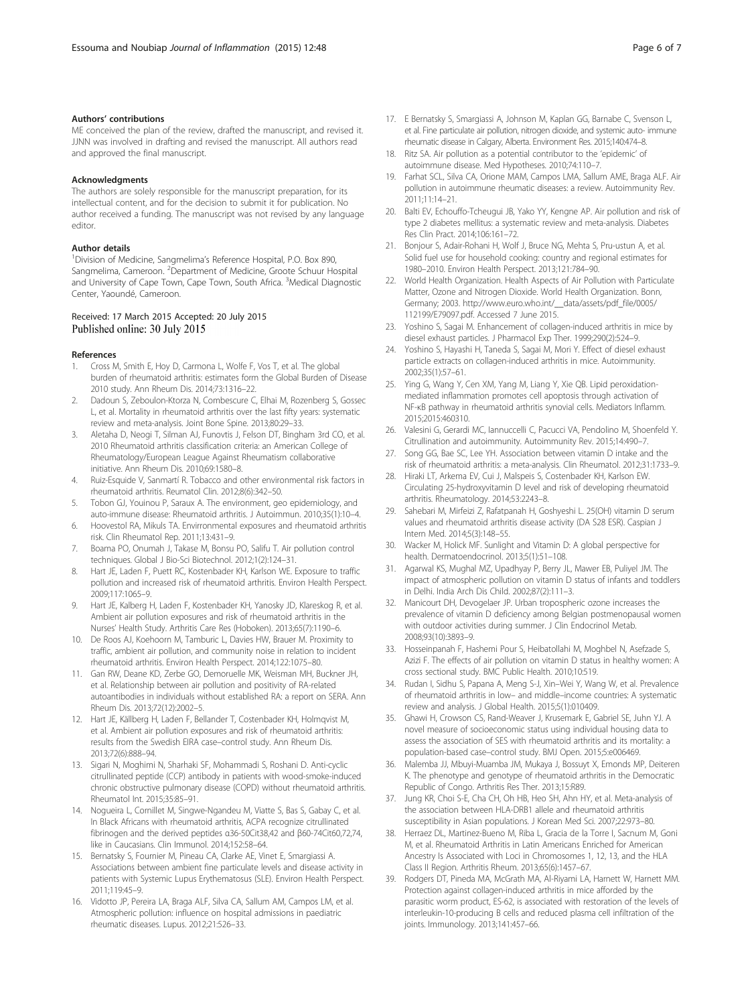#### <span id="page-5-0"></span>Authors' contributions

ME conceived the plan of the review, drafted the manuscript, and revised it. JJNN was involved in drafting and revised the manuscript. All authors read and approved the final manuscript.

Acknowledgments

The authors are solely responsible for the manuscript preparation, for its intellectual content, and for the decision to submit it for publication. No author received a funding. The manuscript was not revised by any language editor.

#### Author details

<sup>1</sup> Division of Medicine, Sangmelima's Reference Hospital, P.O. Box 890, Sangmelima, Cameroon. <sup>2</sup>Department of Medicine, Groote Schuur Hospital and University of Cape Town, Cape Town, South Africa. <sup>3</sup>Medical Diagnostic Center, Yaoundé, Cameroon.

#### Received: 17 March 2015 Accepted: 20 July 2015 Published online: 30 July 2015

#### References

- 1. Cross M, Smith E, Hoy D, Carmona L, Wolfe F, Vos T, et al. The global burden of rheumatoid arthritis: estimates form the Global Burden of Disease 2010 study. Ann Rheum Dis. 2014;73:1316–22.
- Dadoun S, Zeboulon-Ktorza N, Combescure C, Elhai M, Rozenberg S, Gossec L, et al. Mortality in rheumatoid arthritis over the last fifty years: systematic review and meta-analysis. Joint Bone Spine. 2013;80:29–33.
- 3. Aletaha D, Neogi T, Silman AJ, Funovtis J, Felson DT, Bingham 3rd CO, et al. 2010 Rheumatoid arthritis classification criteria: an American College of Rheumatology/European League Against Rheumatism collaborative initiative. Ann Rheum Dis. 2010;69:1580–8.
- 4. Ruiz-Esquide V, Sanmartí R. Tobacco and other environmental risk factors in rheumatoid arthritis. Reumatol Clin. 2012;8(6):342–50.
- Tobon GJ, Youinou P, Saraux A. The environment, geo epidemiology, and auto-immune disease: Rheumatoid arthritis. J Autoimmun. 2010;35(1):10–4.
- 6. Hoovestol RA, Mikuls TA. Envirronmental exposures and rheumatoid arthritis risk. Clin Rheumatol Rep. 2011;13:431–9.
- 7. Boama PO, Onumah J, Takase M, Bonsu PO, Salifu T. Air pollution control techniques. Global J Bio-Sci Biotechnol. 2012;1(2):124–31.
- 8. Hart JE, Laden F, Puett RC, Kostenbader KH, Karlson WE. Exposure to traffic pollution and increased risk of rheumatoid arthritis. Environ Health Perspect. 2009;117:1065–9.
- 9. Hart JE, Kalberg H, Laden F, Kostenbader KH, Yanosky JD, Klareskog R, et al. Ambient air pollution exposures and risk of rheumatoid arthritis in the Nurses' Health Study. Arthritis Care Res (Hoboken). 2013;65(7):1190–6.
- 10. De Roos AJ, Koehoorn M, Tamburic L, Davies HW, Brauer M. Proximity to traffic, ambient air pollution, and community noise in relation to incident rheumatoid arthritis. Environ Health Perspect. 2014;122:1075–80.
- 11. Gan RW, Deane KD, Zerbe GO, Demoruelle MK, Weisman MH, Buckner JH, et al. Relationship between air pollution and positivity of RA-related autoantibodies in individuals without established RA: a report on SERA. Ann Rheum Dis. 2013;72(12):2002–5.
- 12. Hart JE, Källberg H, Laden F, Bellander T, Costenbader KH, Holmqvist M, et al. Ambient air pollution exposures and risk of rheumatoid arthritis: results from the Swedish EIRA case–control study. Ann Rheum Dis. 2013;72(6):888–94.
- 13. Sigari N, Moghimi N, Sharhaki SF, Mohammadi S, Roshani D. Anti-cyclic citrullinated peptide (CCP) antibody in patients with wood-smoke-induced chronic obstructive pulmonary disease (COPD) without rheumatoid arthritis. Rheumatol Int. 2015;35:85–91.
- 14. Nogueira L, Cornillet M, Singwe-Ngandeu M, Viatte S, Bas S, Gabay C, et al. In Black Africans with rheumatoid arthritis, ACPA recognize citrullinated fibrinogen and the derived peptides α36-50Cit38,42 and β60-74Cit60,72,74, like in Caucasians. Clin Immunol. 2014;152:58–64.
- 15. Bernatsky S, Fournier M, Pineau CA, Clarke AE, Vinet E, Smargiassi A. Associations between ambient fine particulate levels and disease activity in patients with Systemic Lupus Erythematosus (SLE). Environ Health Perspect. 2011;119:45–9.
- 16. Vidotto JP, Pereira LA, Braga ALF, Silva CA, Sallum AM, Campos LM, et al. Atmospheric pollution: influence on hospital admissions in paediatric rheumatic diseases. Lupus. 2012;21:526–33.
- 17. E Bernatsky S, Smargiassi A, Johnson M, Kaplan GG, Barnabe C, Svenson L, et al. Fine particulate air pollution, nitrogen dioxide, and systemic auto- immune rheumatic disease in Calgary, Alberta. Environment Res. 2015;140:474–8.
- 18. Ritz SA. Air pollution as a potential contributor to the 'epidemic' of autoimmune disease. Med Hypotheses. 2010;74:110–7.
- 19. Farhat SCL, Silva CA, Orione MAM, Campos LMA, Sallum AME, Braga ALF. Air pollution in autoimmune rheumatic diseases: a review. Autoimmunity Rev. 2011;11:14–21.
- 20. Balti EV, Echouffo-Tcheugui JB, Yako YY, Kengne AP. Air pollution and risk of type 2 diabetes mellitus: a systematic review and meta-analysis. Diabetes Res Clin Pract. 2014;106:161–72.
- 21. Bonjour S, Adair-Rohani H, Wolf J, Bruce NG, Mehta S, Pru-ustun A, et al. Solid fuel use for household cooking: country and regional estimates for 1980–2010. Environ Health Perspect. 2013;121:784–90.
- 22. World Health Organization. Health Aspects of Air Pollution with Particulate Matter, Ozone and Nitrogen Dioxide. World Health Organization. Bonn, Germany; 2003. [http://www.euro.who.int/\\_\\_data/assets/pdf\\_file/0005/](http://www.euro.who.int/__data/assets/pdf_file/0005/112199/E79097.pdf) [112199/E79097.pdf.](http://www.euro.who.int/__data/assets/pdf_file/0005/112199/E79097.pdf) Accessed 7 June 2015.
- 23. Yoshino S, Sagai M. Enhancement of collagen-induced arthritis in mice by diesel exhaust particles. J Pharmacol Exp Ther. 1999;290(2):524–9.
- 24. Yoshino S, Hayashi H, Taneda S, Sagai M, Mori Y. Effect of diesel exhaust particle extracts on collagen-induced arthritis in mice. Autoimmunity. 2002;35(1):57–61.
- 25. Ying G, Wang Y, Cen XM, Yang M, Liang Y, Xie QB. Lipid peroxidationmediated inflammation promotes cell apoptosis through activation of NF-κB pathway in rheumatoid arthritis synovial cells. Mediators Inflamm. 2015;2015:460310.
- 26. Valesini G, Gerardi MC, Iannuccelli C, Pacucci VA, Pendolino M, Shoenfeld Y. Citrullination and autoimmunity. Autoimmunity Rev. 2015;14:490–7.
- 27. Song GG, Bae SC, Lee YH. Association between vitamin D intake and the risk of rheumatoid arthritis: a meta-analysis. Clin Rheumatol. 2012;31:1733–9.
- 28. Hiraki LT, Arkema EV, Cui J, Malspeis S, Costenbader KH, Karlson EW. Circulating 25-hydroxyvitamin D level and risk of developing rheumatoid arthritis. Rheumatology. 2014;53:2243–8.
- 29. Sahebari M, Mirfeizi Z, Rafatpanah H, Goshyeshi L. 25(OH) vitamin D serum values and rheumatoid arthritis disease activity (DA S28 ESR). Caspian J Intern Med. 2014;5(3):148–55.
- 30. Wacker M, Holick MF. Sunlight and Vitamin D: A global perspective for health. Dermatoendocrinol. 2013;5(1):51–108.
- 31. Agarwal KS, Mughal MZ, Upadhyay P, Berry JL, Mawer EB, Puliyel JM. The impact of atmospheric pollution on vitamin D status of infants and toddlers in Delhi. India Arch Dis Child. 2002;87(2):111–3.
- 32. Manicourt DH, Devogelaer JP. Urban tropospheric ozone increases the prevalence of vitamin D deficiency among Belgian postmenopausal women with outdoor activities during summer. J Clin Endocrinol Metab. 2008;93(10):3893–9.
- 33. Hosseinpanah F, Hashemi Pour S, Heibatollahi M, Moghbel N, Asefzade S, Azizi F. The effects of air pollution on vitamin D status in healthy women: A cross sectional study. BMC Public Health. 2010;10:519.
- 34. Rudan I, Sidhu S, Papana A, Meng S-J, Xin–Wei Y, Wang W, et al. Prevalence of rheumatoid arthritis in low– and middle–income countries: A systematic review and analysis. J Global Health. 2015;5(1):010409.
- 35. Ghawi H, Crowson CS, Rand-Weaver J, Krusemark E, Gabriel SE, Juhn YJ. A novel measure of socioeconomic status using individual housing data to assess the association of SES with rheumatoid arthritis and its mortality: a population-based case–control study. BMJ Open. 2015;5:e006469.
- Malemba JJ, Mbuyi-Muamba JM, Mukaya J, Bossuyt X, Emonds MP, Deiteren K. The phenotype and genotype of rheumatoid arthritis in the Democratic Republic of Congo. Arthritis Res Ther. 2013;15:R89.
- 37. Jung KR, Choi S-E, Cha CH, Oh HB, Heo SH, Ahn HY, et al. Meta-analysis of the association between HLA-DRB1 allele and rheumatoid arthritis susceptibility in Asian populations. J Korean Med Sci. 2007;22:973–80.
- 38. Herraez DL, Martinez-Bueno M, Riba L, Gracia de la Torre I, Sacnum M, Goni M, et al. Rheumatoid Arthritis in Latin Americans Enriched for American Ancestry Is Associated with Loci in Chromosomes 1, 12, 13, and the HLA Class II Region. Arthritis Rheum. 2013;65(6):1457–67.
- 39. Rodgers DT, Pineda MA, McGrath MA, Al-Riyami LA, Harnett W, Harnett MM. Protection against collagen-induced arthritis in mice afforded by the parasitic worm product, ES-62, is associated with restoration of the levels of interleukin-10-producing B cells and reduced plasma cell infiltration of the joints. Immunology. 2013;141:457–66.